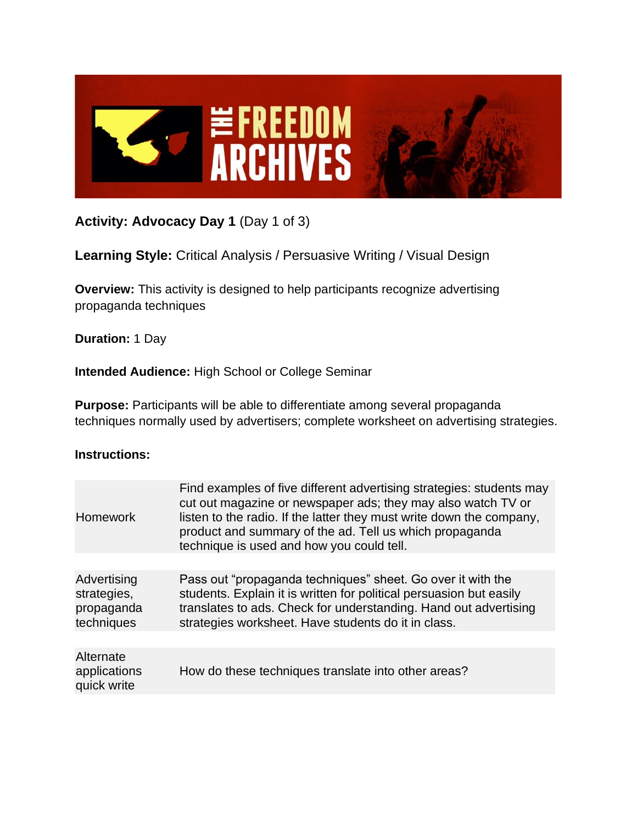

# **Activity: Advocacy Day 1** (Day 1 of 3)

## **Learning Style:** Critical Analysis / Persuasive Writing / Visual Design

**Overview:** This activity is designed to help participants recognize advertising propaganda techniques

**Duration:** 1 Day

**Intended Audience:** High School or College Seminar

**Purpose:** Participants will be able to differentiate among several propaganda techniques normally used by advertisers; complete worksheet on advertising strategies.

### **Instructions:**

| <b>Homework</b>                                        | Find examples of five different advertising strategies: students may<br>cut out magazine or newspaper ads; they may also watch TV or<br>listen to the radio. If the latter they must write down the company,<br>product and summary of the ad. Tell us which propaganda<br>technique is used and how you could tell. |
|--------------------------------------------------------|----------------------------------------------------------------------------------------------------------------------------------------------------------------------------------------------------------------------------------------------------------------------------------------------------------------------|
| Advertising<br>strategies,<br>propaganda<br>techniques | Pass out "propaganda techniques" sheet. Go over it with the<br>students. Explain it is written for political persuasion but easily<br>translates to ads. Check for understanding. Hand out advertising<br>strategies worksheet. Have students do it in class.                                                        |
|                                                        |                                                                                                                                                                                                                                                                                                                      |
| Alternate<br>applications<br>quick write               | How do these techniques translate into other areas?                                                                                                                                                                                                                                                                  |